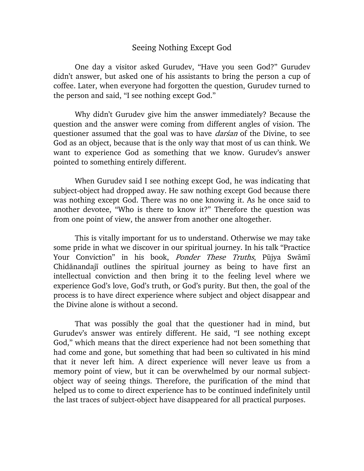## Seeing Nothing Except God

One day a visitor asked Gurudev, "Have you seen God?" Gurudev didn't answer, but asked one of his assistants to bring the person a cup of coffee. Later, when everyone had forgotten the question, Gurudev turned to the person and said, "I see nothing except God."

Why didn't Gurudev give him the answer immediately? Because the question and the answer were coming from different angles of vision. The questioner assumed that the goal was to have *darsan* of the Divine, to see God as an object, because that is the only way that most of us can think. We want to experience God as something that we know. Gurudev's answer pointed to something entirely different.

When Gurudev said I see nothing except God, he was indicating that subject-object had dropped away. He saw nothing except God because there was nothing except God. There was no one knowing it. As he once said to another devotee, "Who is there to know it?" Therefore the question was from one point of view, the answer from another one altogether.

This is vitally important for us to understand. Otherwise we may take some pride in what we discover in our spiritual journey. In his talk "Practice Your Conviction" in his book, *Ponder These Truths*, Pūjya Swāmī Chidānandajī outlines the spiritual journey as being to have first an intellectual conviction and then bring it to the feeling level where we experience God's love, God's truth, or God's purity. But then, the goal of the process is to have direct experience where subject and object disappear and the Divine alone is without a second.

That was possibly the goal that the questioner had in mind, but Gurudev's answer was entirely different. He said, "I see nothing except God," which means that the direct experience had not been something that had come and gone, but something that had been so cultivated in his mind that it never left him. A direct experience will never leave us from a memory point of view, but it can be overwhelmed by our normal subjectobject way of seeing things. Therefore, the purification of the mind that helped us to come to direct experience has to be continued indefinitely until the last traces of subject-object have disappeared for all practical purposes.